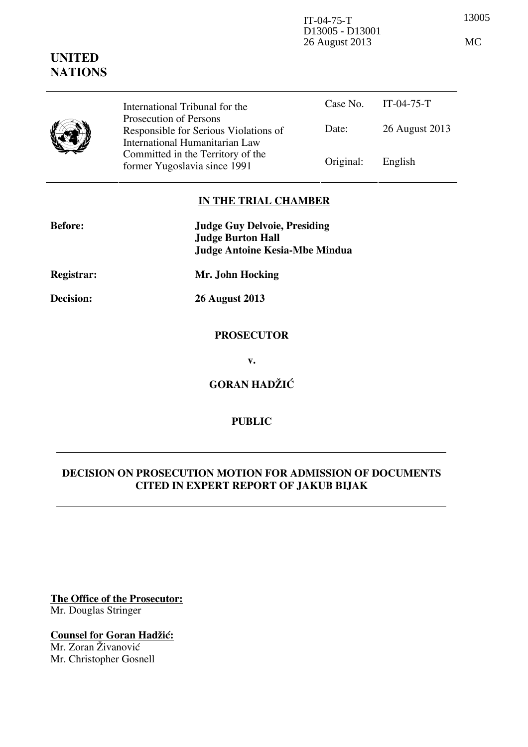13005 IT-04-75-T D13005 - D13001 26 August 2013 MC

|  | International Tribunal for the                                                                    |           | Case No. IT-04-75-T |
|--|---------------------------------------------------------------------------------------------------|-----------|---------------------|
|  | Prosecution of Persons<br>Responsible for Serious Violations of<br>International Humanitarian Law | Date:     | 26 August 2013      |
|  | Committed in the Territory of the<br>former Yugoslavia since 1991                                 | Original: | English             |

## **IN THE TRIAL CHAMBER**

| <b>Before:</b> | <b>Judge Guy Delvoie, Presiding</b><br><b>Judge Burton Hall</b> |  |
|----------------|-----------------------------------------------------------------|--|
|                | <b>Judge Antoine Kesia-Mbe Mindua</b>                           |  |
| Registrar:     | Mr. John Hocking                                                |  |
| Decision:      | <b>26 August 2013</b>                                           |  |
|                | <b>PROSECUTOR</b>                                               |  |
|                | v.                                                              |  |
|                | <b>GORAN HADŽIĆ</b>                                             |  |
|                |                                                                 |  |

## **PUBLIC**

## **DECISION ON PROSECUTION MOTION FOR ADMISSION OF DOCUMENTS CITED IN EXPERT REPORT OF JAKUB BIJAK**

**The Office of the Prosecutor:** Mr. Douglas Stringer

**Counsel for Goran Hadžić:** Mr. Zoran Živanović

Mr. Christopher Gosnell

# **UNITED NATIONS**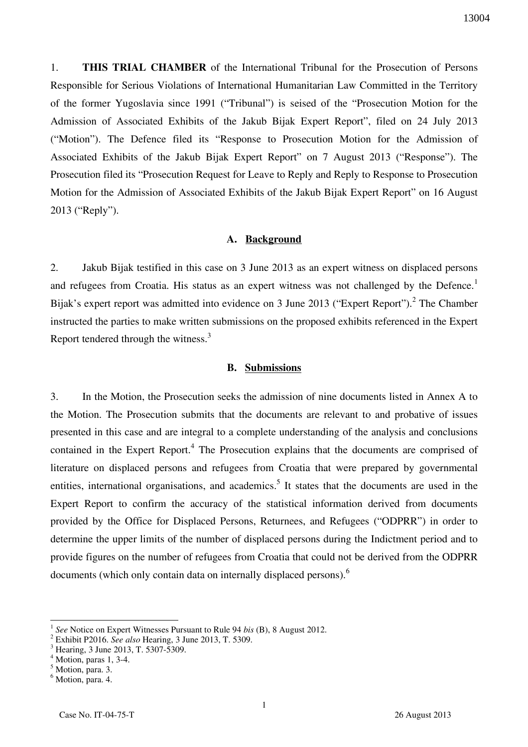1. **THIS TRIAL CHAMBER** of the International Tribunal for the Prosecution of Persons Responsible for Serious Violations of International Humanitarian Law Committed in the Territory of the former Yugoslavia since 1991 ("Tribunal") is seised of the "Prosecution Motion for the Admission of Associated Exhibits of the Jakub Bijak Expert Report", filed on 24 July 2013 ("Motion"). The Defence filed its "Response to Prosecution Motion for the Admission of Associated Exhibits of the Jakub Bijak Expert Report" on 7 August 2013 ("Response"). The Prosecution filed its "Prosecution Request for Leave to Reply and Reply to Response to Prosecution Motion for the Admission of Associated Exhibits of the Jakub Bijak Expert Report" on 16 August 2013 ("Reply").

### **A. Background**

2. Jakub Bijak testified in this case on 3 June 2013 as an expert witness on displaced persons and refugees from Croatia. His status as an expert witness was not challenged by the Defence.<sup>1</sup> Bijak's expert report was admitted into evidence on 3 June 2013 ("Expert Report").<sup>2</sup> The Chamber instructed the parties to make written submissions on the proposed exhibits referenced in the Expert Report tendered through the witness.<sup>3</sup>

#### **B. Submissions**

3. In the Motion, the Prosecution seeks the admission of nine documents listed in Annex A to the Motion. The Prosecution submits that the documents are relevant to and probative of issues presented in this case and are integral to a complete understanding of the analysis and conclusions contained in the Expert Report.<sup>4</sup> The Prosecution explains that the documents are comprised of literature on displaced persons and refugees from Croatia that were prepared by governmental entities, international organisations, and academics.<sup>5</sup> It states that the documents are used in the Expert Report to confirm the accuracy of the statistical information derived from documents provided by the Office for Displaced Persons, Returnees, and Refugees ("ODPRR") in order to determine the upper limits of the number of displaced persons during the Indictment period and to provide figures on the number of refugees from Croatia that could not be derived from the ODPRR documents (which only contain data on internally displaced persons).<sup>6</sup>

 $\overline{a}$ 

<sup>1</sup> *See* Notice on Expert Witnesses Pursuant to Rule 94 *bis* (B), 8 August 2012.

<sup>2</sup> Exhibit P2016. *See also* Hearing, 3 June 2013, T. 5309.

<sup>3</sup> Hearing, 3 June 2013, T. 5307-5309.

<sup>4</sup> Motion, paras 1, 3-4.

<sup>5</sup> Motion, para. 3.

<sup>&</sup>lt;sup>6</sup> Motion, para. 4.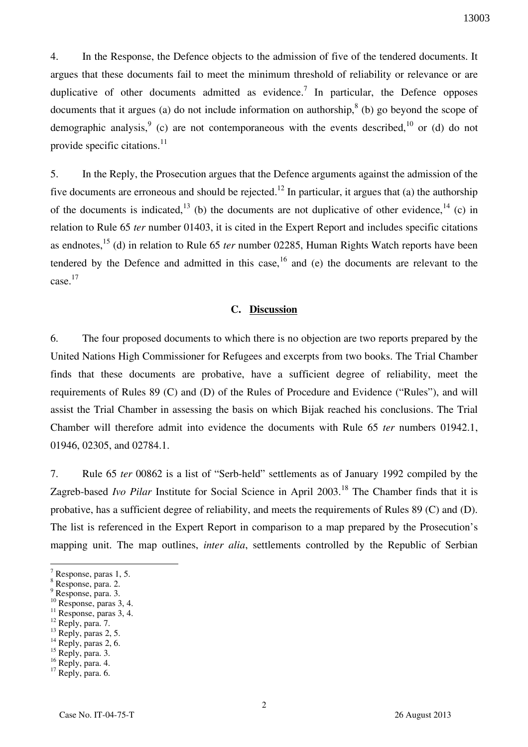4. In the Response, the Defence objects to the admission of five of the tendered documents. It argues that these documents fail to meet the minimum threshold of reliability or relevance or are duplicative of other documents admitted as evidence.<sup>7</sup> In particular, the Defence opposes documents that it argues (a) do not include information on authorship,  $8$  (b) go beyond the scope of demographic analysis,  $9$  (c) are not contemporaneous with the events described,  $10$  or (d) do not provide specific citations. $^{11}$ 

5. In the Reply, the Prosecution argues that the Defence arguments against the admission of the five documents are erroneous and should be rejected.<sup>12</sup> In particular, it argues that (a) the authorship of the documents is indicated,  $13$  (b) the documents are not duplicative of other evidence,  $14$  (c) in relation to Rule 65 *ter* number 01403, it is cited in the Expert Report and includes specific citations as endnotes,<sup>15</sup> (d) in relation to Rule 65 *ter* number 02285, Human Rights Watch reports have been tendered by the Defence and admitted in this case,  $16$  and (e) the documents are relevant to the case. 17

### **C. Discussion**

6. The four proposed documents to which there is no objection are two reports prepared by the United Nations High Commissioner for Refugees and excerpts from two books. The Trial Chamber finds that these documents are probative, have a sufficient degree of reliability, meet the requirements of Rules 89 (C) and (D) of the Rules of Procedure and Evidence ("Rules"), and will assist the Trial Chamber in assessing the basis on which Bijak reached his conclusions. The Trial Chamber will therefore admit into evidence the documents with Rule 65 *ter* numbers 01942.1, 01946, 02305, and 02784.1.

7. Rule 65 *ter* 00862 is a list of "Serb-held" settlements as of January 1992 compiled by the Zagreb-based *Ivo Pilar* Institute for Social Science in April 2003.<sup>18</sup> The Chamber finds that it is probative, has a sufficient degree of reliability, and meets the requirements of Rules 89 (C) and (D). The list is referenced in the Expert Report in comparison to a map prepared by the Prosecution's mapping unit. The map outlines, *inter alia*, settlements controlled by the Republic of Serbian

 $\overline{a}$ 

 $12$  Reply, para. 7.

<sup>7</sup> Response, paras 1, 5.

<sup>8</sup> Response, para. 2.

<sup>9</sup> Response, para. 3.

<sup>&</sup>lt;sup>10</sup> Response, paras 3, 4.

<sup>&</sup>lt;sup>11</sup> Response, paras 3, 4.

 $^{13}$  Reply, paras 2, 5.  $14$  Reply, paras 2, 6.

 $15$  Reply, para. 3.

<sup>&</sup>lt;sup>16</sup> Reply, para. 4.

 $17$  Reply, para. 6.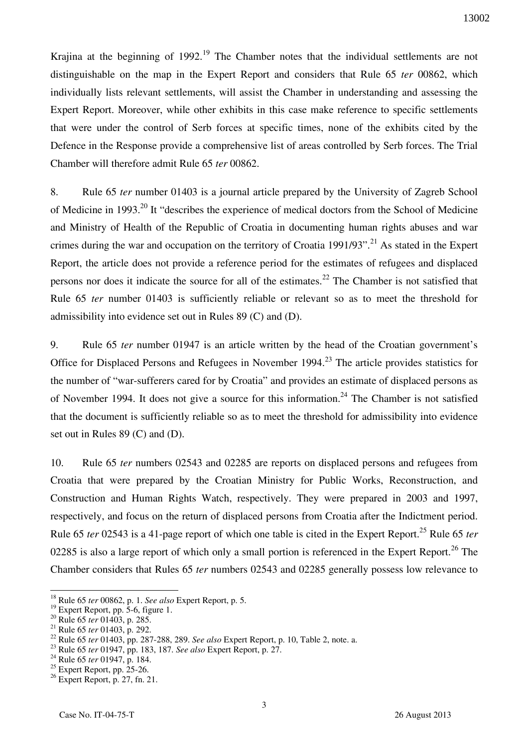Krajina at the beginning of 1992.<sup>19</sup> The Chamber notes that the individual settlements are not distinguishable on the map in the Expert Report and considers that Rule 65 *ter* 00862, which individually lists relevant settlements, will assist the Chamber in understanding and assessing the Expert Report. Moreover, while other exhibits in this case make reference to specific settlements that were under the control of Serb forces at specific times, none of the exhibits cited by the Defence in the Response provide a comprehensive list of areas controlled by Serb forces. The Trial Chamber will therefore admit Rule 65 *ter* 00862.

8. Rule 65 *ter* number 01403 is a journal article prepared by the University of Zagreb School of Medicine in 1993.<sup>20</sup> It "describes the experience of medical doctors from the School of Medicine and Ministry of Health of the Republic of Croatia in documenting human rights abuses and war crimes during the war and occupation on the territory of Croatia 1991/93".<sup>21</sup> As stated in the Expert Report, the article does not provide a reference period for the estimates of refugees and displaced persons nor does it indicate the source for all of the estimates.<sup>22</sup> The Chamber is not satisfied that Rule 65 *ter* number 01403 is sufficiently reliable or relevant so as to meet the threshold for admissibility into evidence set out in Rules 89 (C) and (D).

9. Rule 65 *ter* number 01947 is an article written by the head of the Croatian government's Office for Displaced Persons and Refugees in November 1994.<sup>23</sup> The article provides statistics for the number of "war-sufferers cared for by Croatia" and provides an estimate of displaced persons as of November 1994. It does not give a source for this information.<sup>24</sup> The Chamber is not satisfied that the document is sufficiently reliable so as to meet the threshold for admissibility into evidence set out in Rules 89 (C) and (D).

10. Rule 65 *ter* numbers 02543 and 02285 are reports on displaced persons and refugees from Croatia that were prepared by the Croatian Ministry for Public Works, Reconstruction, and Construction and Human Rights Watch, respectively. They were prepared in 2003 and 1997, respectively, and focus on the return of displaced persons from Croatia after the Indictment period. Rule 65 *ter* 02543 is a 41-page report of which one table is cited in the Expert Report.<sup>25</sup> Rule 65 *ter* 02285 is also a large report of which only a small portion is referenced in the Expert Report.<sup>26</sup> The Chamber considers that Rules 65 *ter* numbers 02543 and 02285 generally possess low relevance to

 $\overline{a}$ 

<sup>18</sup> Rule 65 *ter* 00862, p. 1. *See also* Expert Report, p. 5.

 $19$  Expert Report, pp. 5-6, figure 1.

<sup>20</sup> Rule 65 *ter* 01403, p. 285.

<sup>21</sup> Rule 65 *ter* 01403, p. 292.

<sup>22</sup> Rule 65 *ter* 01403, pp. 287-288, 289. *See also* Expert Report, p. 10, Table 2, note. a.

<sup>23</sup> Rule 65 *ter* 01947, pp. 183, 187. *See also* Expert Report, p. 27.

<sup>24</sup> Rule 65 *ter* 01947, p. 184.

 $25$  Expert Report, pp. 25-26.

 $26$  Expert Report, p. 27, fn. 21.